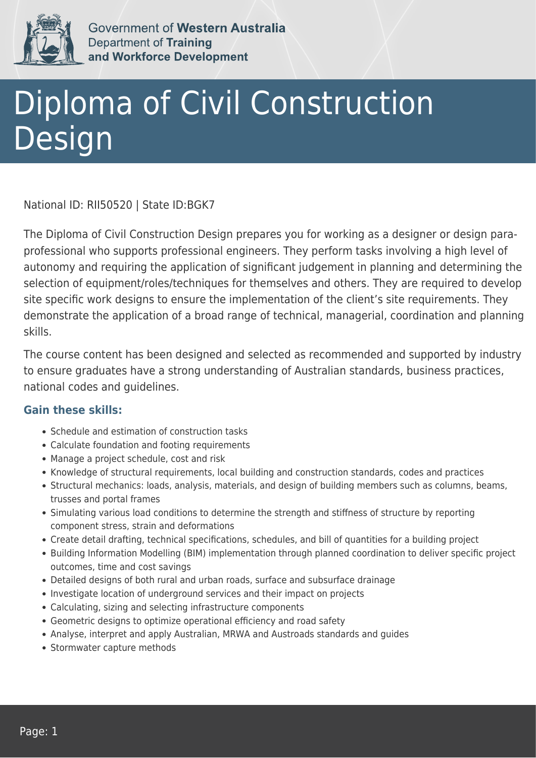

Government of Western Australia Department of Training and Workforce Development

## Diploma of Civil Construction Design

National ID: RII50520 | State ID:BGK7

The Diploma of Civil Construction Design prepares you for working as a designer or design paraprofessional who supports professional engineers. They perform tasks involving a high level of autonomy and requiring the application of significant judgement in planning and determining the selection of equipment/roles/techniques for themselves and others. They are required to develop site specific work designs to ensure the implementation of the client's site requirements. They demonstrate the application of a broad range of technical, managerial, coordination and planning skills.

The course content has been designed and selected as recommended and supported by industry to ensure graduates have a strong understanding of Australian standards, business practices, national codes and guidelines.

## **Gain these skills:**

- Schedule and estimation of construction tasks
- Calculate foundation and footing requirements
- Manage a project schedule, cost and risk
- Knowledge of structural requirements, local building and construction standards, codes and practices
- Structural mechanics: loads, analysis, materials, and design of building members such as columns, beams, trusses and portal frames
- Simulating various load conditions to determine the strength and stiffness of structure by reporting component stress, strain and deformations
- Create detail drafting, technical specifications, schedules, and bill of quantities for a building project
- Building Information Modelling (BIM) implementation through planned coordination to deliver specific project outcomes, time and cost savings
- Detailed designs of both rural and urban roads, surface and subsurface drainage
- Investigate location of underground services and their impact on projects
- Calculating, sizing and selecting infrastructure components
- Geometric designs to optimize operational efficiency and road safety
- Analyse, interpret and apply Australian, MRWA and Austroads standards and guides
- Stormwater capture methods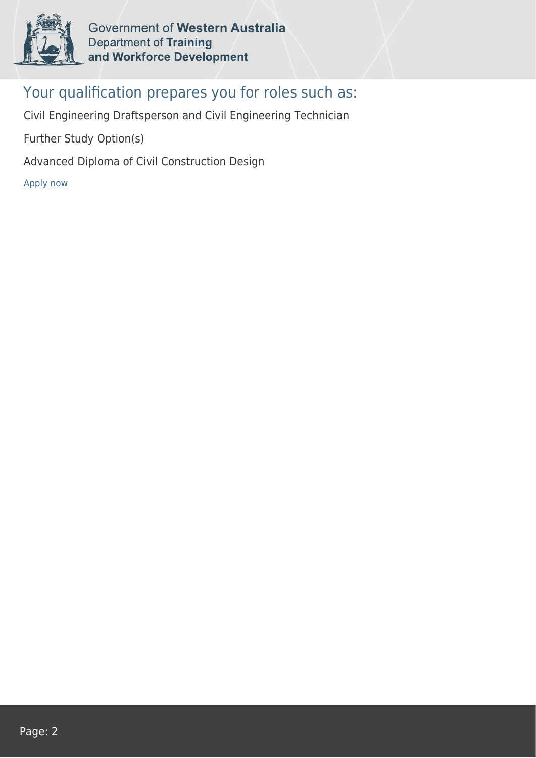

Government of Western Australia Department of Training and Workforce Development

## Your qualification prepares you for roles such as:

Civil Engineering Draftsperson and Civil Engineering Technician

Further Study Option(s)

Advanced Diploma of Civil Construction Design

[Apply now](https://tasonline.tafe.wa.edu.au/Default.aspx)